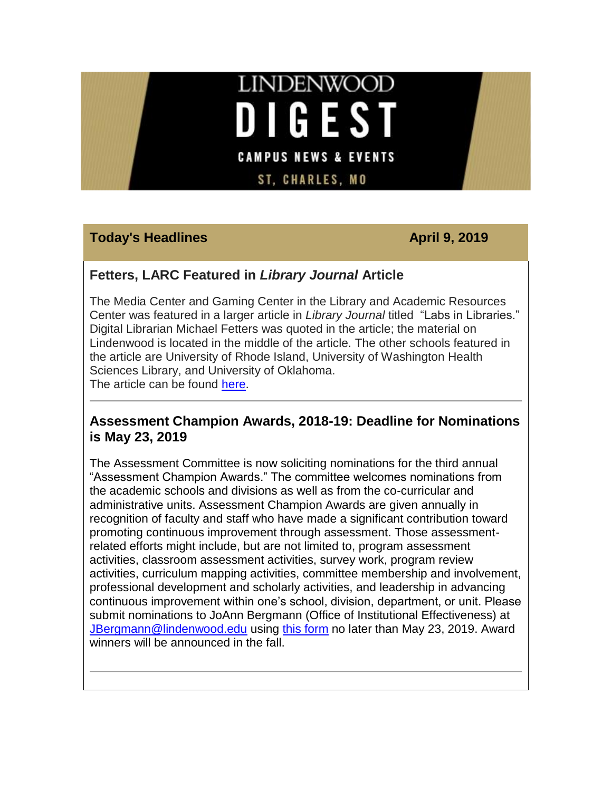# **LINDENWOOD DIGEST CAMPUS NEWS & EVENTS**

**ST, CHARLES, MO** 

## **Today's Headlines April 9, 2019**

#### **Fetters, LARC Featured in** *Library Journal* **Article**

The Media Center and Gaming Center in the Library and Academic Resources Center was featured in a larger article in *Library Journal* titled "Labs in Libraries." Digital Librarian Michael Fetters was quoted in the article; the material on Lindenwood is located in the middle of the article. The other schools featured in the article are University of Rhode Island, University of Washington Health Sciences Library, and University of Oklahoma. The article can be found [here.](https://hes32-ctp.trendmicro.com/wis/clicktime/v1/query?url=https%3a%2f%2fcustapp.marketvolt.com%2flink%2fst9WzRLaEP%3fCM%3d1313986874%26X%3d70525052&umid=7e5e1db9-b8c2-40f0-bc89-efaa88e9716c&auth=bc7ac43e330fa629f0cfb11786c85e83c10d06b8-46030e368a04911c32a74c1f81ef3a44ac82e6bb)

**Assessment Champion Awards, 2018-19: Deadline for Nominations is May 23, 2019**

The Assessment Committee is now soliciting nominations for the third annual "Assessment Champion Awards." The committee welcomes nominations from the academic schools and divisions as well as from the co-curricular and administrative units. Assessment Champion Awards are given annually in recognition of faculty and staff who have made a significant contribution toward promoting continuous improvement through assessment. Those assessmentrelated efforts might include, but are not limited to, program assessment activities, classroom assessment activities, survey work, program review activities, curriculum mapping activities, committee membership and involvement, professional development and scholarly activities, and leadership in advancing continuous improvement within one's school, division, department, or unit. Please submit nominations to JoAnn Bergmann (Office of Institutional Effectiveness) at [JBergmann@lindenwood.edu](mailto:JBergmann@lindenwood.edu) using [this form](https://hes32-ctp.trendmicro.com/wis/clicktime/v1/query?url=https%3a%2f%2fcustapp.marketvolt.com%2flink%2fxeEFGkeCxN%3fCM%3d1313986874%26X%3d70525052&umid=7e5e1db9-b8c2-40f0-bc89-efaa88e9716c&auth=bc7ac43e330fa629f0cfb11786c85e83c10d06b8-a5497d04db0bea3486c5cf23f76df43fa2bd8a1a) no later than May 23, 2019. Award winners will be announced in the fall.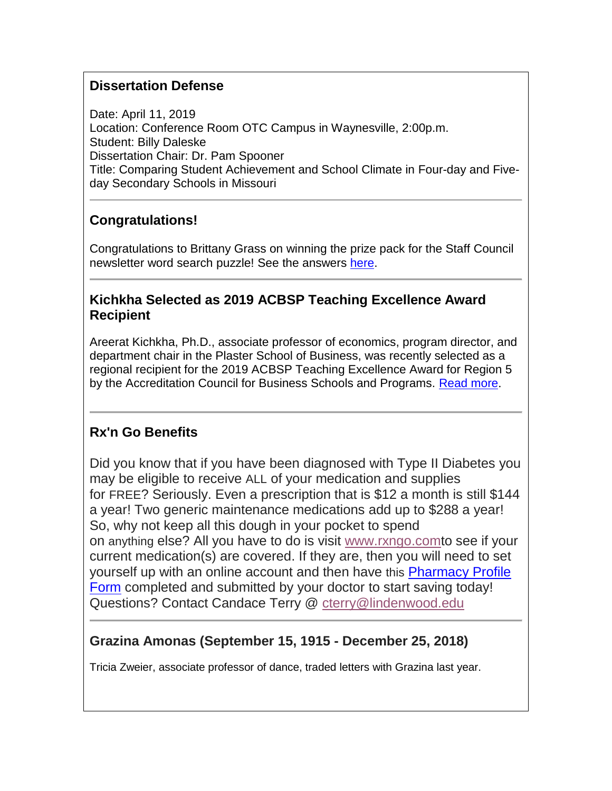# **Dissertation Defense**

Date: April 11, 2019 Location: Conference Room OTC Campus in Waynesville, 2:00p.m. Student: Billy Daleske Dissertation Chair: Dr. Pam Spooner Title: Comparing Student Achievement and School Climate in Four-day and Fiveday Secondary Schools in Missouri

# **Congratulations!**

Congratulations to Brittany Grass on winning the prize pack for the Staff Council newsletter word search puzzle! See the answers [here.](https://hes32-ctp.trendmicro.com/wis/clicktime/v1/query?url=https%3a%2f%2fcustapp.marketvolt.com%2flink%2fiE68oIW2Mx%3fCM%3d1313986874%26X%3d70525052&umid=7e5e1db9-b8c2-40f0-bc89-efaa88e9716c&auth=bc7ac43e330fa629f0cfb11786c85e83c10d06b8-6bfe287ed38bfae91d17fc4612a8c6883ac2fa22)

### **Kichkha Selected as 2019 ACBSP Teaching Excellence Award Recipient**

Areerat Kichkha, Ph.D., associate professor of economics, program director, and department chair in the Plaster School of Business, was recently selected as a regional recipient for the 2019 ACBSP Teaching Excellence Award for Region 5 by the Accreditation Council for Business Schools and Programs. [Read more](https://hes32-ctp.trendmicro.com/wis/clicktime/v1/query?url=https%3a%2f%2fcustapp.marketvolt.com%2flink%2fkwcQKF9XNz%3fCM%3d1313986874%26X%3d70525052&umid=7e5e1db9-b8c2-40f0-bc89-efaa88e9716c&auth=bc7ac43e330fa629f0cfb11786c85e83c10d06b8-874097b6dc3649403228dceb0c7661833564cc9d).

## **Rx'n Go Benefits**

Did you know that if you have been diagnosed with Type II Diabetes you may be eligible to receive ALL of your medication and supplies for FREE? Seriously. Even a prescription that is \$12 a month is still \$144 a year! Two generic maintenance medications add up to \$288 a year! So, why not keep all this dough in your pocket to spend on anything else? All you have to do is visit [www.rxngo.comt](https://hes32-ctp.trendmicro.com/wis/clicktime/v1/query?url=https%3a%2f%2fcustapp.marketvolt.com%2flink%2fNAAIc9SUAP%3fCM%3d1313986874%26X%3d70525052&umid=7e5e1db9-b8c2-40f0-bc89-efaa88e9716c&auth=bc7ac43e330fa629f0cfb11786c85e83c10d06b8-168c9a126501aab3170af26c90f14eeb9534b00d)o see if your current medication(s) are covered. If they are, then you will need to set yourself up with an online account and then have this [Pharmacy](https://hes32-ctp.trendmicro.com/wis/clicktime/v1/query?url=https%3a%2f%2fcustapp.marketvolt.com%2flink%2f1wewR8gP3c%3fCM%3d1313986874%26X%3d70525052&umid=7e5e1db9-b8c2-40f0-bc89-efaa88e9716c&auth=bc7ac43e330fa629f0cfb11786c85e83c10d06b8-d63359535db261dc098e5e3692b36a3675828254) Profile [Form](https://hes32-ctp.trendmicro.com/wis/clicktime/v1/query?url=https%3a%2f%2fcustapp.marketvolt.com%2flink%2f1wewR8gP3c%3fCM%3d1313986874%26X%3d70525052&umid=7e5e1db9-b8c2-40f0-bc89-efaa88e9716c&auth=bc7ac43e330fa629f0cfb11786c85e83c10d06b8-d63359535db261dc098e5e3692b36a3675828254) completed and submitted by your doctor to start saving today! Questions? Contact Candace Terry @ [cterry@lindenwood.edu](mailto:cterry@lindenwood.edu)

## **Grazina Amonas (September 15, 1915 - December 25, 2018)**

Tricia Zweier, associate professor of dance, traded letters with Grazina last year.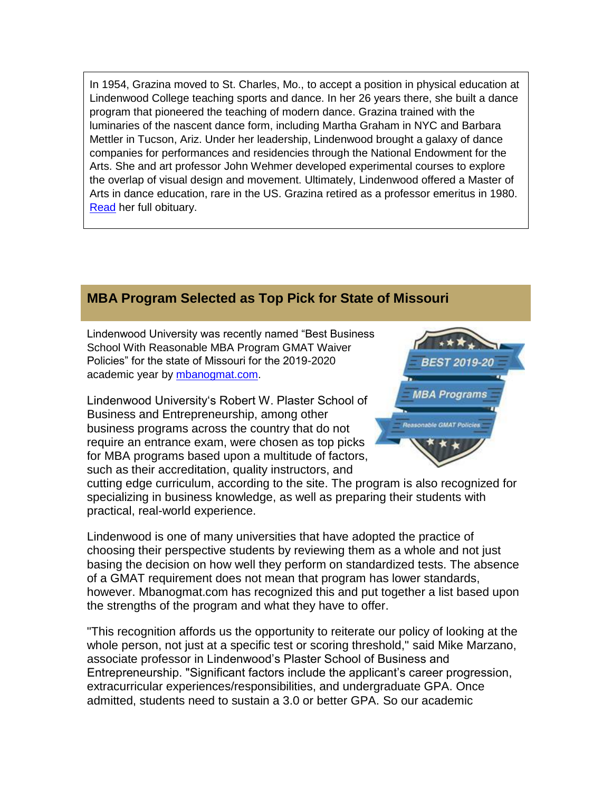In 1954, Grazina moved to St. Charles, Mo., to accept a position in physical education at Lindenwood College teaching sports and dance. In her 26 years there, she built a dance program that pioneered the teaching of modern dance. Grazina trained with the luminaries of the nascent dance form, including Martha Graham in NYC and Barbara Mettler in Tucson, Ariz. Under her leadership, Lindenwood brought a galaxy of dance companies for performances and residencies through the National Endowment for the Arts. She and art professor John Wehmer developed experimental courses to explore the overlap of visual design and movement. Ultimately, Lindenwood offered a Master of Arts in dance education, rare in the US. Grazina retired as a professor emeritus in 1980. [Read](https://hes32-ctp.trendmicro.com/wis/clicktime/v1/query?url=https%3a%2f%2fcustapp.marketvolt.com%2flink%2fTUSzpgY6uL%3fCM%3d1313986874%26X%3d70525052&umid=7e5e1db9-b8c2-40f0-bc89-efaa88e9716c&auth=bc7ac43e330fa629f0cfb11786c85e83c10d06b8-be27e32778dee4769de735fad0878f8bd03bf155) her full obituary.

### **MBA Program Selected as Top Pick for State of Missouri**

Lindenwood University was recently named "Best Business School With Reasonable MBA Program GMAT Waiver Policies" for the state of Missouri for the 2019-2020 academic year by [mbanogmat.com.](https://hes32-ctp.trendmicro.com/wis/clicktime/v1/query?url=https%3a%2f%2fcustapp.marketvolt.com%2flink%2foa4cACYyEc%3fCM%3d1313986874%26X%3d70525052&umid=7e5e1db9-b8c2-40f0-bc89-efaa88e9716c&auth=bc7ac43e330fa629f0cfb11786c85e83c10d06b8-fd4d20f20192b2a6429c4e547a38b45b20dd905e)

Lindenwood University's Robert W. Plaster School of Business and Entrepreneurship, among other business programs across the country that do not require an entrance exam, were chosen as top picks for MBA programs based upon a multitude of factors, such as their accreditation, quality instructors, and

cutting edge curriculum, according to the site. The program is also recognized for specializing in business knowledge, as well as preparing their students with practical, real-world experience.

Lindenwood is one of many universities that have adopted the practice of choosing their perspective students by reviewing them as a whole and not just basing the decision on how well they perform on standardized tests. The absence of a GMAT requirement does not mean that program has lower standards, however. Mbanogmat.com has recognized this and put together a list based upon the strengths of the program and what they have to offer.

"This recognition affords us the opportunity to reiterate our policy of looking at the whole person, not just at a specific test or scoring threshold," said Mike Marzano, associate professor in Lindenwood's Plaster School of Business and Entrepreneurship. "Significant factors include the applicant's career progression, extracurricular experiences/responsibilities, and undergraduate GPA. Once admitted, students need to sustain a 3.0 or better GPA. So our academic

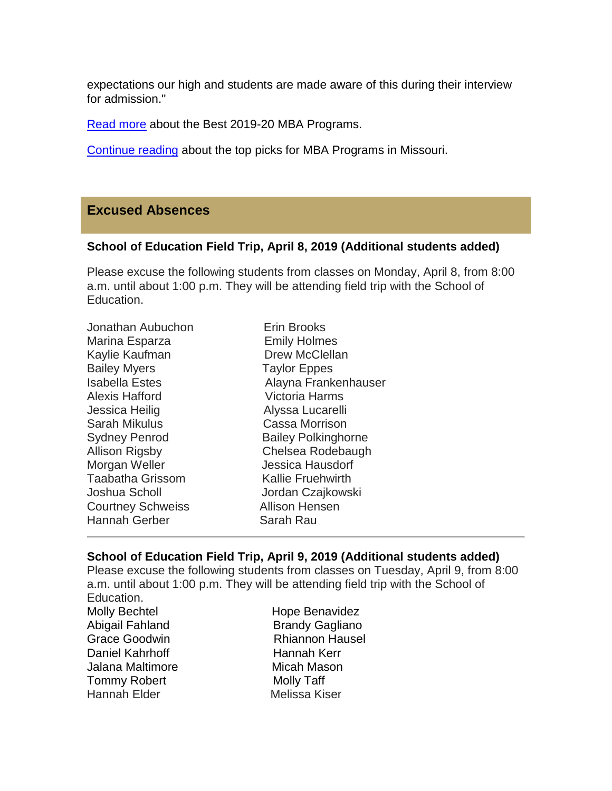expectations our high and students are made aware of this during their interview for admission."

[Read more](https://hes32-ctp.trendmicro.com/wis/clicktime/v1/query?url=https%3a%2f%2fcustapp.marketvolt.com%2flink%2fncHb17uXET%3fCM%3d1313986874%26X%3d70525052&umid=7e5e1db9-b8c2-40f0-bc89-efaa88e9716c&auth=bc7ac43e330fa629f0cfb11786c85e83c10d06b8-5c3696230ab9a30b9496751bb22f28ecfa02719e) about the Best 2019-20 MBA Programs.

[Continue](https://hes32-ctp.trendmicro.com/wis/clicktime/v1/query?url=https%3a%2f%2fcustapp.marketvolt.com%2flink%2fhvc4aRd1aK%3fCM%3d1313986874%26X%3d70525052&umid=7e5e1db9-b8c2-40f0-bc89-efaa88e9716c&auth=bc7ac43e330fa629f0cfb11786c85e83c10d06b8-f513c3f69a26cf77b1d91a19adcdc7d7e5b50e51) reading about the top picks for MBA Programs in Missouri.

#### **Excused Absences**

#### **School of Education Field Trip, April 8, 2019 (Additional students added)**

Please excuse the following students from classes on Monday, April 8, from 8:00 a.m. until about 1:00 p.m. They will be attending field trip with the School of Education.

#### **School of Education Field Trip, April 9, 2019 (Additional students added)**

Please excuse the following students from classes on Tuesday, April 9, from 8:00 a.m. until about 1:00 p.m. They will be attending field trip with the School of

Education. Daniel Kahrhoff Hannah Kerr Jalana Maltimore **Micah Mason** Tommy Robert Molly Taff Hannah Elder Melissa Kiser

Molly Bechtel **Hope Benavidez** Abigail Fahland Brandy Gagliano Grace Goodwin Rhiannon Hausel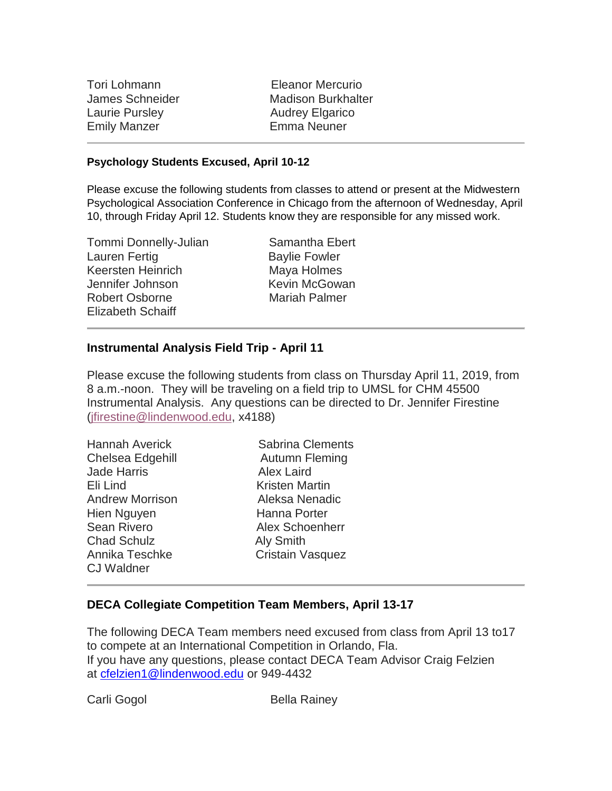Tori Lohmann Eleanor Mercurio Laurie Pursley **Audrey Elgarico** Emily Manzer Emma Neuner

James Schneider Madison Burkhalter

#### **Psychology Students Excused, April 10-12**

Please excuse the following students from classes to attend or present at the Midwestern Psychological Association Conference in Chicago from the afternoon of Wednesday, April 10, through Friday April 12. Students know they are responsible for any missed work.

Tommi Donnelly-Julian Samantha Ebert Lauren Fertig **Baylie Fowler** Keersten Heinrich Maya Holmes Jennifer Johnson Kevin McGowan Robert Osborne Mariah Palmer Elizabeth Schaiff

#### **Instrumental Analysis Field Trip - April 11**

Please excuse the following students from class on Thursday April 11, 2019, from 8 a.m.-noon. They will be traveling on a field trip to UMSL for CHM 45500 Instrumental Analysis. Any questions can be directed to Dr. Jennifer Firestine [\(jfirestine@lindenwood.edu,](mailto:jfirestine@lindenwood.edu) x4188)

| <b>Hannah Averick</b>  | <b>Sabrina Clements</b> |
|------------------------|-------------------------|
| Chelsea Edgehill       | Autumn Fleming          |
| <b>Jade Harris</b>     | <b>Alex Laird</b>       |
| Eli Lind               | Kristen Martin          |
| <b>Andrew Morrison</b> | Aleksa Nenadic          |
| Hien Nguyen            | Hanna Porter            |
| <b>Sean Rivero</b>     | Alex Schoenherr         |
| <b>Chad Schulz</b>     | <b>Aly Smith</b>        |
| Annika Teschke         | <b>Cristain Vasquez</b> |
| <b>CJ Waldner</b>      |                         |

#### **DECA Collegiate Competition Team Members, April 13-17**

The following DECA Team members need excused from class from April 13 to17 to compete at an International Competition in Orlando, Fla. If you have any questions, please contact DECA Team Advisor Craig Felzien at [cfelzien1@lindenwood.edu](mailto:cfelzien1@lindenwood.edu) or 949-4432

Carli Gogol **Bella Rainey**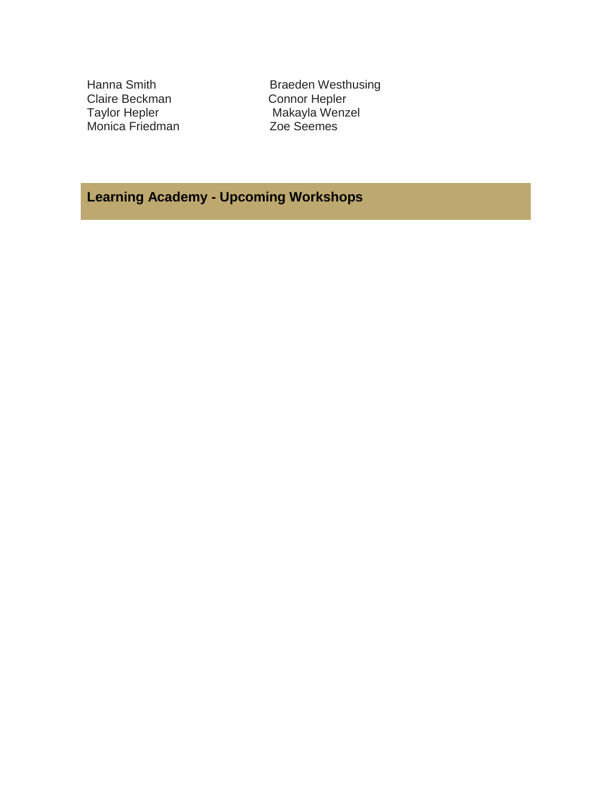Claire Beckman<br>Taylor Hepler Monica Friedman

Hanna Smith Braeden Westhusing<br>
Claire Beckman<br>
Connor Hepler Makayla Wenzel<br>Zoe Seemes

# **Learning Academy - Upcoming Workshops**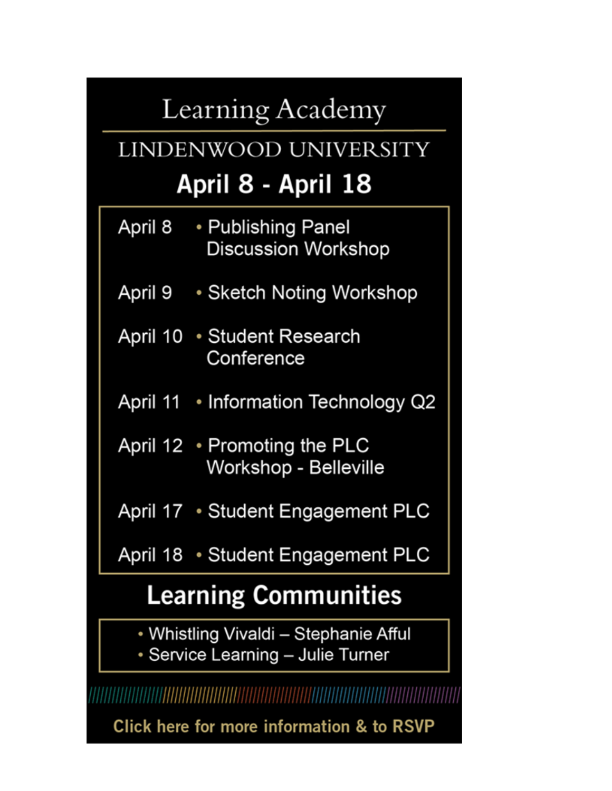# Learning Academy

# LINDENWOOD UNIVERSITY April 8 - April 18

- April 8 • Publishing Panel **Discussion Workshop**
- April 9 Sketch Noting Workshop
- April 10 Student Research Conference
- April 11 Information Technology Q2
- April 12 Promoting the PLC Workshop - Belleville

April 17 • Student Engagement PLC

April 18 • Student Engagement PLC

# **Learning Communities**

- Whistling Vivaldi Stephanie Afful
- Service Learning Julie Turner

Click here for more information & to RSVP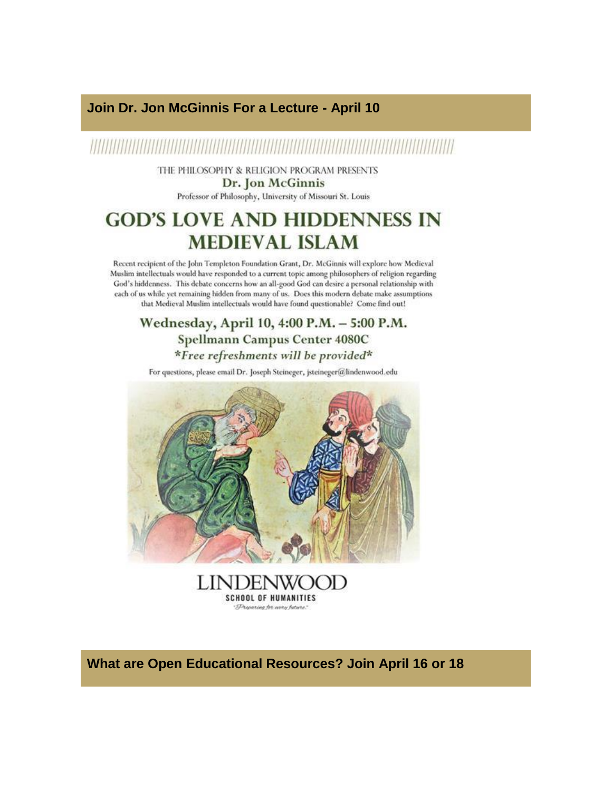#### Join Dr. Jon McGinnis For a Lecture - April 10

# 

THE PHILOSOPHY & RELIGION PROGRAM PRESENTS Dr. Jon McGinnis

Professor of Philosophy, University of Missouri St. Louis

# **GOD'S LOVE AND HIDDENNESS IN MEDIEVAL ISLAM**

Recent recipient of the John Templeton Foundation Grant, Dr. McGinnis will explore how Medieval Muslim intellectuals would have responded to a current topic among philosophers of religion regarding God's hiddenness. This debate concerns how an all-good God can desire a personal relationship with each of us while yet remaining hidden from many of us. Does this modern debate make assumptions that Medieval Muslim intellectuals would have found questionable? Come find out!

Wednesday, April 10, 4:00 P.M. - 5:00 P.M. Spellmann Campus Center 4080C \*Free refreshments will be provided\*

For questions, please email Dr. Joseph Steineger, jsteineger@lindenwood.edu



**LINDENW**  $H$ ) **SCHOOL OF HUMANITIES** Dreparing for anny future."

What are Open Educational Resources? Join April 16 or 18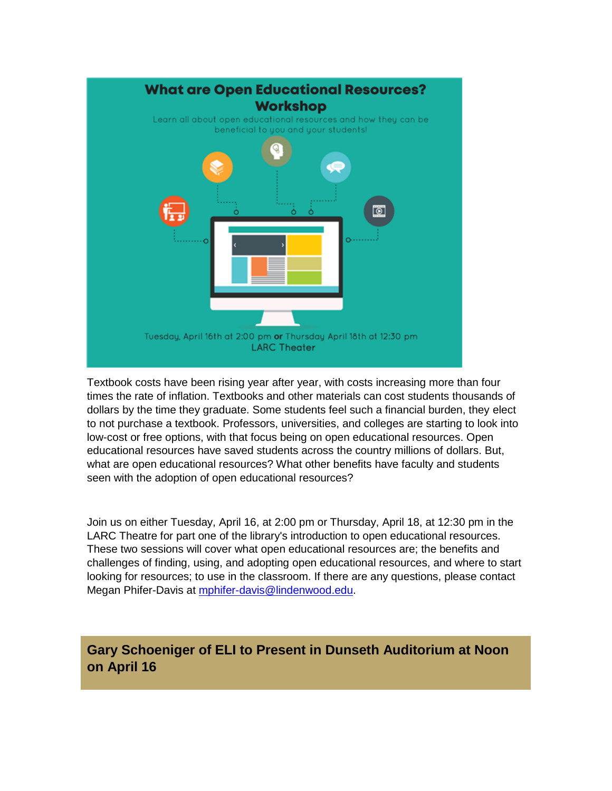

Textbook costs have been rising year after year, with costs increasing more than four times the rate of inflation. Textbooks and other materials can cost students thousands of dollars by the time they graduate. Some students feel such a financial burden, they elect to not purchase a textbook. Professors, universities, and colleges are starting to look into low-cost or free options, with that focus being on open educational resources. Open educational resources have saved students across the country millions of dollars. But, what are open educational resources? What other benefits have faculty and students seen with the adoption of open educational resources?

Join us on either Tuesday, April 16, at 2:00 pm or Thursday, April 18, at 12:30 pm in the LARC Theatre for part one of the library's introduction to open educational resources. These two sessions will cover what open educational resources are; the benefits and challenges of finding, using, and adopting open educational resources, and where to start looking for resources; to use in the classroom. If there are any questions, please contact Megan Phifer-Davis at [mphifer-davis@lindenwood.edu.](mailto:mphifer-davis@lindenwood.edu)

**Gary Schoeniger of ELI to Present in Dunseth Auditorium at Noon on April 16**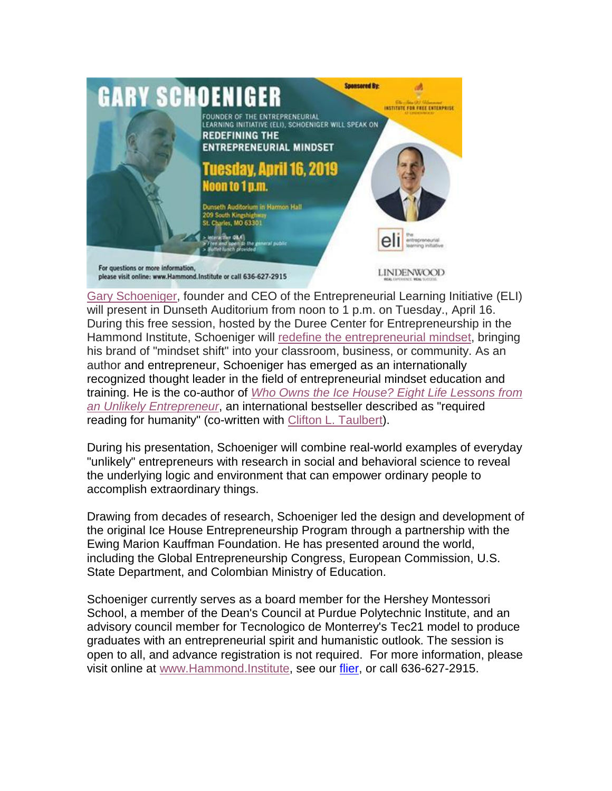

Gary [Schoeniger,](https://hes32-ctp.trendmicro.com/wis/clicktime/v1/query?url=https%3a%2f%2fcustapp.marketvolt.com%2flink%2fQd7o4fp6DV%3fCM%3d1313986874%26X%3d70525052&umid=7e5e1db9-b8c2-40f0-bc89-efaa88e9716c&auth=bc7ac43e330fa629f0cfb11786c85e83c10d06b8-bdb20f85a1d2a245cb52e1eb0196e06759d9d011) founder and CEO of the Entrepreneurial Learning Initiative (ELI) will present in Dunseth Auditorium from noon to 1 p.m. on Tuesday., April 16. During this free session, hosted by the Duree Center for Entrepreneurship in the Hammond Institute, Schoeniger will redefine the [entrepreneurial](https://hes32-ctp.trendmicro.com/wis/clicktime/v1/query?url=https%3a%2f%2fcustapp.marketvolt.com%2flink%2fCkdnwQKFhG%3fCM%3d1313986874%26X%3d70525052&umid=7e5e1db9-b8c2-40f0-bc89-efaa88e9716c&auth=bc7ac43e330fa629f0cfb11786c85e83c10d06b8-83d16c401ff3179202275b0574915a4e11e9b0e6) mindset, bringing his brand of "mindset shift" into your classroom, business, or community. As an author and entrepreneur, Schoeniger has emerged as an internationally recognized thought leader in the field of entrepreneurial mindset education and training. He is the co-author of *Who Owns the Ice House? Eight Life [Lessons](https://hes32-ctp.trendmicro.com/wis/clicktime/v1/query?url=https%3a%2f%2fcustapp.marketvolt.com%2flink%2fH4AbpGG884%3fCM%3d1313986874%26X%3d70525052&umid=7e5e1db9-b8c2-40f0-bc89-efaa88e9716c&auth=bc7ac43e330fa629f0cfb11786c85e83c10d06b8-cf7188f9daa34631d26335075717c52127b30da5) from an Unlikely [Entrepreneur](https://hes32-ctp.trendmicro.com/wis/clicktime/v1/query?url=https%3a%2f%2fcustapp.marketvolt.com%2flink%2fH4AbpGG884%3fCM%3d1313986874%26X%3d70525052&umid=7e5e1db9-b8c2-40f0-bc89-efaa88e9716c&auth=bc7ac43e330fa629f0cfb11786c85e83c10d06b8-cf7188f9daa34631d26335075717c52127b30da5)*, an international bestseller described as "required reading for humanity" (co-written with Clifton L. [Taulbert\)](https://hes32-ctp.trendmicro.com/wis/clicktime/v1/query?url=https%3a%2f%2fcustapp.marketvolt.com%2flink%2fQnzHn4ez1d%3fCM%3d1313986874%26X%3d70525052&umid=7e5e1db9-b8c2-40f0-bc89-efaa88e9716c&auth=bc7ac43e330fa629f0cfb11786c85e83c10d06b8-747921f4f78cf44b6b2c9b1d9d91720d280d3e0b).

During his presentation, Schoeniger will combine real-world examples of everyday "unlikely" entrepreneurs with research in social and behavioral science to reveal the underlying logic and environment that can empower ordinary people to accomplish extraordinary things.

Drawing from decades of research, Schoeniger led the design and development of the original Ice House Entrepreneurship Program through a partnership with the Ewing Marion Kauffman Foundation. He has presented around the world, including the Global Entrepreneurship Congress, European Commission, U.S. State Department, and Colombian Ministry of Education.

Schoeniger currently serves as a board member for the Hershey Montessori School, a member of the Dean's Council at Purdue Polytechnic Institute, and an advisory council member for Tecnologico de Monterrey's Tec21 model to produce graduates with an entrepreneurial spirit and humanistic outlook. The session is open to all, and advance registration is not required. For more information, please visit online at [www.Hammond.Institute,](https://hes32-ctp.trendmicro.com/wis/clicktime/v1/query?url=https%3a%2f%2fcustapp.marketvolt.com%2flink%2fv9KCdL1Hpz%3fCM%3d1313986874%26X%3d70525052&umid=7e5e1db9-b8c2-40f0-bc89-efaa88e9716c&auth=bc7ac43e330fa629f0cfb11786c85e83c10d06b8-61aecc84b41a67571a3905a825e50b7139681e2d) see our [flier,](https://hes32-ctp.trendmicro.com/wis/clicktime/v1/query?url=https%3a%2f%2fcustapp.marketvolt.com%2flink%2faUfYHBtLtn%3fCM%3d1313986874%26X%3d70525052&umid=7e5e1db9-b8c2-40f0-bc89-efaa88e9716c&auth=bc7ac43e330fa629f0cfb11786c85e83c10d06b8-39dd89d720586712f5e211b280a6531439504667) or call 636-627-2915.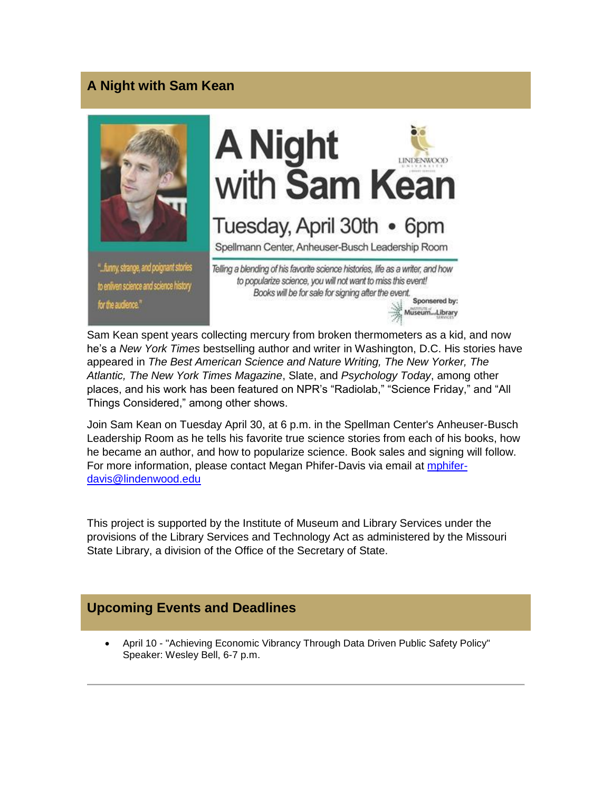## **A Night with Sam Kean**



Sam Kean spent years collecting mercury from broken thermometers as a kid, and now he's a *New York Times* bestselling author and writer in Washington, D.C. His stories have appeared in *The Best American Science and Nature Writing, The New Yorker, The Atlantic, The New York Times Magazine*, Slate, and *Psychology Today*, among other places, and his work has been featured on NPR's "Radiolab," "Science Friday," and "All Things Considered," among other shows.

Join Sam Kean on Tuesday April 30, at 6 p.m. in the Spellman Center's Anheuser-Busch Leadership Room as he tells his favorite true science stories from each of his books, how he became an author, and how to popularize science. Book sales and signing will follow. For more information, please contact Megan Phifer-Davis via email at [mphifer](mailto:mphifer-davis@lindenwood.edu)[davis@lindenwood.edu](mailto:mphifer-davis@lindenwood.edu)

This project is supported by the Institute of Museum and Library Services under the provisions of the Library Services and Technology Act as administered by the Missouri State Library, a division of the Office of the Secretary of State.

#### **Upcoming Events and Deadlines**

 April 10 - "Achieving Economic Vibrancy Through Data Driven Public Safety Policy" Speaker: Wesley Bell, 6-7 p.m.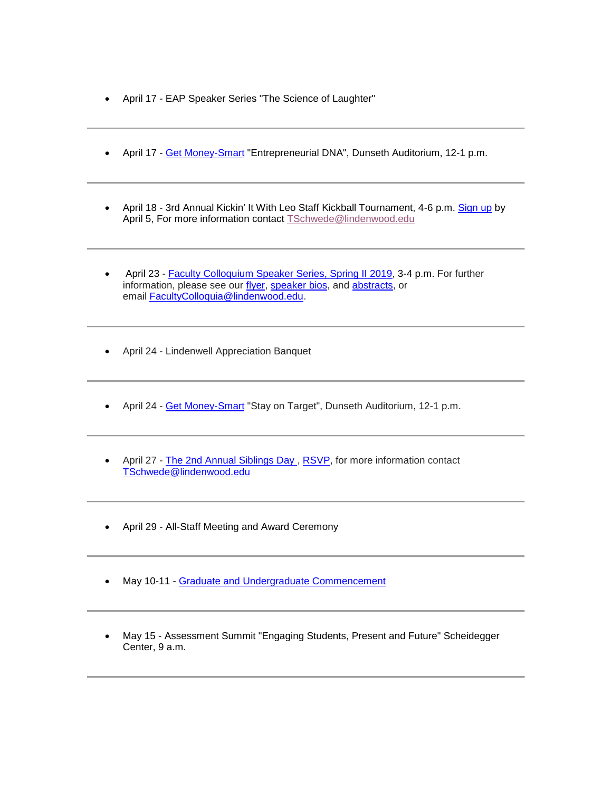- April 17 EAP Speaker Series "The Science of Laughter"
- April 17 [Get Money-Smart](https://hes32-ctp.trendmicro.com/wis/clicktime/v1/query?url=https%3a%2f%2fcustapp.marketvolt.com%2flink%2fxh5iPQefnd%3fCM%3d1313986874%26X%3d70525052&umid=7e5e1db9-b8c2-40f0-bc89-efaa88e9716c&auth=bc7ac43e330fa629f0cfb11786c85e83c10d06b8-c86635e3fde44104b6bba63d66b318fe4902e77d) "Entrepreneurial DNA", Dunseth Auditorium, 12-1 p.m.
- April 18 3rd Annual Kickin' It With Leo Staff Kickball Tournament, 4-6 p.m. [Sign up](https://hes32-ctp.trendmicro.com/wis/clicktime/v1/query?url=https%3a%2f%2fcustapp.marketvolt.com%2flink%2ffWf4ukIsWn%3fCM%3d1313986874%26X%3d70525052&umid=7e5e1db9-b8c2-40f0-bc89-efaa88e9716c&auth=bc7ac43e330fa629f0cfb11786c85e83c10d06b8-b5449859613d94a289db7ebcc128cb020aae749b) by April 5, For more information contact **[TSchwede@lindenwood.edu](mailto:TSchwede@lindenwood.edu)**
- April 23 [Faculty Colloquium Speaker Series, Spring II 2019,](https://hes32-ctp.trendmicro.com/wis/clicktime/v1/query?url=https%3a%2f%2fcustapp.marketvolt.com%2flink%2flWSM1KHlSp%3fCM%3d1313986874%26X%3d70525052&umid=7e5e1db9-b8c2-40f0-bc89-efaa88e9716c&auth=bc7ac43e330fa629f0cfb11786c85e83c10d06b8-df2cc0d24f0aaf1293899caa80368afbd83618be) 3-4 p.m. For further information, please see our [flyer,](https://hes32-ctp.trendmicro.com/wis/clicktime/v1/query?url=https%3a%2f%2fcustapp.marketvolt.com%2flink%2fFmlcr63FDs%3fCM%3d1313986874%26X%3d70525052&umid=7e5e1db9-b8c2-40f0-bc89-efaa88e9716c&auth=bc7ac43e330fa629f0cfb11786c85e83c10d06b8-b7d4eca1b6ad6ad2aa4f542f90fa0a348f8c4e9d) [speaker](https://hes32-ctp.trendmicro.com/wis/clicktime/v1/query?url=https%3a%2f%2fcustapp.marketvolt.com%2flink%2fVcP2xPulHS%3fCM%3d1313986874%26X%3d70525052&umid=7e5e1db9-b8c2-40f0-bc89-efaa88e9716c&auth=bc7ac43e330fa629f0cfb11786c85e83c10d06b8-d97f29c78d8e5f678e8f0fdfda6eeb62e0256865) bios, and [abstracts,](https://hes32-ctp.trendmicro.com/wis/clicktime/v1/query?url=https%3a%2f%2fcustapp.marketvolt.com%2flink%2fWfonmyXWDn%3fCM%3d1313986874%26X%3d70525052&umid=7e5e1db9-b8c2-40f0-bc89-efaa88e9716c&auth=bc7ac43e330fa629f0cfb11786c85e83c10d06b8-f66c3b91e293916dde6575b581c7d9c72ba1df75) or email [FacultyColloquia@lindenwood.edu.](mailto:FacultyColloquia@lindenwood.edu)
- April 24 Lindenwell Appreciation Banquet
- April 24 [Get Money-Smart](https://hes32-ctp.trendmicro.com/wis/clicktime/v1/query?url=https%3a%2f%2fcustapp.marketvolt.com%2flink%2fxh5iPQefnd%3fCM%3d1313986874%26X%3d70525052&umid=7e5e1db9-b8c2-40f0-bc89-efaa88e9716c&auth=bc7ac43e330fa629f0cfb11786c85e83c10d06b8-c86635e3fde44104b6bba63d66b318fe4902e77d) "Stay on Target", Dunseth Auditorium, 12-1 p.m.
- April 27 [The 2nd Annual Siblings Day](https://hes32-ctp.trendmicro.com/wis/clicktime/v1/query?url=https%3a%2f%2fcustapp.marketvolt.com%2flink%2f6N3w1IBe9S%3fCM%3d1313986874%26X%3d70525052&umid=7e5e1db9-b8c2-40f0-bc89-efaa88e9716c&auth=bc7ac43e330fa629f0cfb11786c85e83c10d06b8-0f52876e87c6108e18b63ba66c980479a04d3169), [RSVP,](https://hes32-ctp.trendmicro.com/wis/clicktime/v1/query?url=https%3a%2f%2fcustapp.marketvolt.com%2flink%2fipbc5FanDc%3fCM%3d1313986874%26X%3d70525052&umid=7e5e1db9-b8c2-40f0-bc89-efaa88e9716c&auth=bc7ac43e330fa629f0cfb11786c85e83c10d06b8-31bb95145c3053333fe89e36af6e4281bc4d3d70) for more information contact [TSchwede@lindenwood.edu](mailto:TSchwede@lindenwood.edu)
- April 29 All-Staff Meeting and Award Ceremony
- May 10-11 [Graduate and Undergraduate Commencement](https://hes32-ctp.trendmicro.com/wis/clicktime/v1/query?url=https%3a%2f%2fcustapp.marketvolt.com%2flink%2ftLuRrmF5dM%3fCM%3d1313986874%26X%3d70525052&umid=7e5e1db9-b8c2-40f0-bc89-efaa88e9716c&auth=bc7ac43e330fa629f0cfb11786c85e83c10d06b8-b18a77716e2259d2f0856dc7da96eaba11c19de0)
- May 15 Assessment Summit "Engaging Students, Present and Future" Scheidegger Center, 9 a.m.